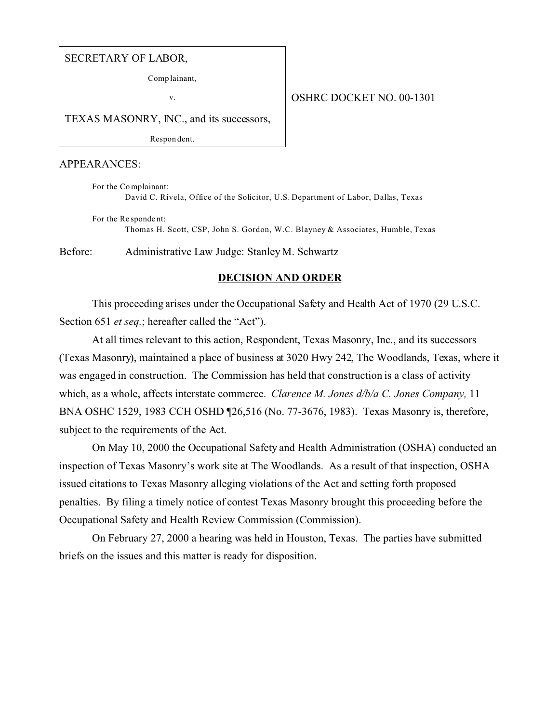#### SECRETARY OF LABOR,

Comp lainant,

v.

#### OSHRC DOCKET NO. 00-1301

TEXAS MASONRY, INC., and its successors,

Respon dent.

#### APPEARANCES:

For the Co mplainant: David C. Rivela, Office of the Solicitor, U.S. Department of Labor, Dallas, Texas

For the Re sponde nt: Thomas H. Scott, CSP, John S. Gordon, W.C. Blayney & Associates, Humble, Texas

Before: Administrative Law Judge: Stanley M. Schwartz

### **DECISION AND ORDER**

This proceeding arises under the Occupational Safety and Health Act of 1970 (29 U.S.C. Section 651 *et seq.*; hereafter called the "Act").

At all times relevant to this action, Respondent, Texas Masonry, Inc., and its successors (Texas Masonry), maintained a place of business at 3020 Hwy 242, The Woodlands, Texas, where it was engaged in construction. The Commission has held that construction is a class of activity which, as a whole, affects interstate commerce. *Clarence M. Jones d/b/a C. Jones Company,* 11 BNA OSHC 1529, 1983 CCH OSHD ¶26,516 (No. 77-3676, 1983). Texas Masonry is, therefore, subject to the requirements of the Act.

On May 10, 2000 the Occupational Safety and Health Administration (OSHA) conducted an inspection of Texas Masonry's work site at The Woodlands. As a result of that inspection, OSHA issued citations to Texas Masonry alleging violations of the Act and setting forth proposed penalties. By filing a timely notice of contest Texas Masonry brought this proceeding before the Occupational Safety and Health Review Commission (Commission).

On February 27, 2000 a hearing was held in Houston, Texas. The parties have submitted briefs on the issues and this matter is ready for disposition.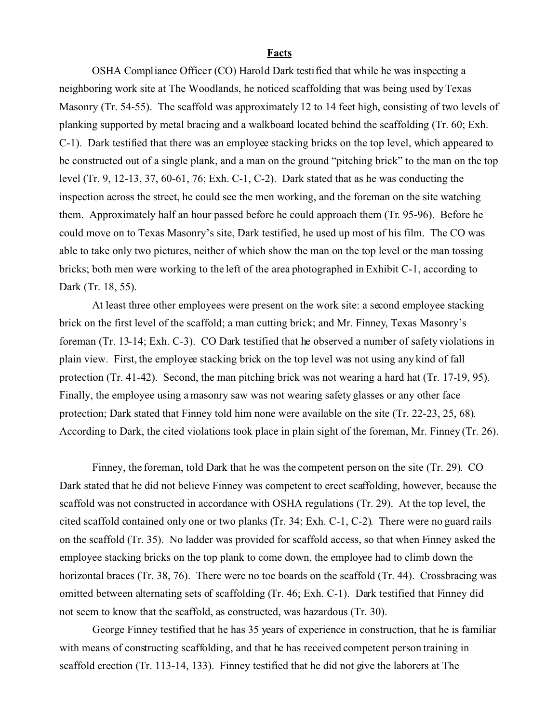#### **Facts**

OSHA Compliance Officer (CO) Harold Dark testified that while he was inspecting a neighboring work site at The Woodlands, he noticed scaffolding that was being used by Texas Masonry (Tr. 54-55). The scaffold was approximately 12 to 14 feet high, consisting of two levels of planking supported by metal bracing and a walkboard located behind the scaffolding (Tr. 60; Exh. C-1). Dark testified that there was an employee stacking bricks on the top level, which appeared to be constructed out of a single plank, and a man on the ground "pitching brick" to the man on the top level (Tr. 9, 12-13, 37, 60-61, 76; Exh. C-1, C-2). Dark stated that as he was conducting the inspection across the street, he could see the men working, and the foreman on the site watching them. Approximately half an hour passed before he could approach them (Tr. 95-96). Before he could move on to Texas Masonry's site, Dark testified, he used up most of his film. The CO was able to take only two pictures, neither of which show the man on the top level or the man tossing bricks; both men were working to the left of the area photographed in Exhibit C-1, according to Dark (Tr. 18, 55).

At least three other employees were present on the work site: a second employee stacking brick on the first level of the scaffold; a man cutting brick; and Mr. Finney, Texas Masonry's foreman (Tr. 13-14; Exh. C-3). CO Dark testified that he observed a number of safety violations in plain view. First, the employee stacking brick on the top level was not using any kind of fall protection (Tr. 41-42). Second, the man pitching brick was not wearing a hard hat (Tr. 17-19, 95). Finally, the employee using a masonry saw was not wearing safety glasses or any other face protection; Dark stated that Finney told him none were available on the site (Tr. 22-23, 25, 68). According to Dark, the cited violations took place in plain sight of the foreman, Mr. Finney (Tr. 26).

Finney, the foreman, told Dark that he was the competent person on the site (Tr. 29). CO Dark stated that he did not believe Finney was competent to erect scaffolding, however, because the scaffold was not constructed in accordance with OSHA regulations (Tr. 29). At the top level, the cited scaffold contained only one or two planks (Tr. 34; Exh. C-1, C-2). There were no guard rails on the scaffold (Tr. 35). No ladder was provided for scaffold access, so that when Finney asked the employee stacking bricks on the top plank to come down, the employee had to climb down the horizontal braces (Tr. 38, 76). There were no toe boards on the scaffold (Tr. 44). Crossbracing was omitted between alternating sets of scaffolding (Tr. 46; Exh. C-1). Dark testified that Finney did not seem to know that the scaffold, as constructed, was hazardous (Tr. 30).

George Finney testified that he has 35 years of experience in construction, that he is familiar with means of constructing scaffolding, and that he has received competent person training in scaffold erection (Tr. 113-14, 133). Finney testified that he did not give the laborers at The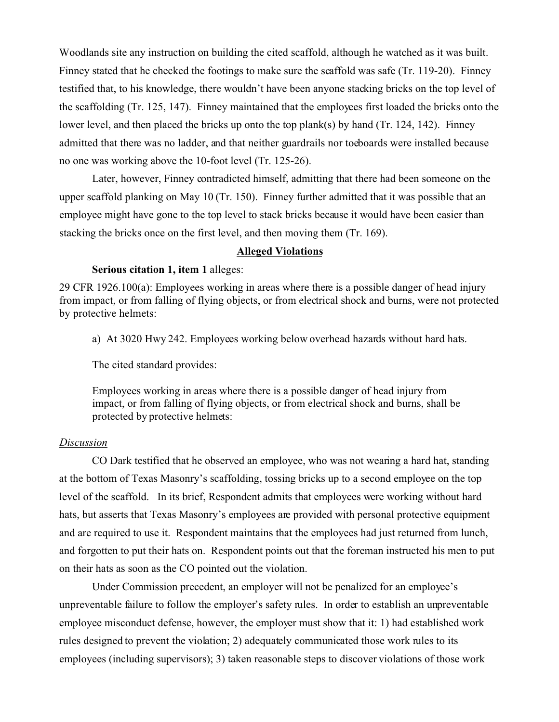Woodlands site any instruction on building the cited scaffold, although he watched as it was built. Finney stated that he checked the footings to make sure the scaffold was safe (Tr. 119-20). Finney testified that, to his knowledge, there wouldn't have been anyone stacking bricks on the top level of the scaffolding (Tr. 125, 147). Finney maintained that the employees first loaded the bricks onto the lower level, and then placed the bricks up onto the top plank(s) by hand (Tr. 124, 142). Finney admitted that there was no ladder, and that neither guardrails nor toeboards were installed because no one was working above the 10-foot level (Tr. 125-26).

Later, however, Finney contradicted himself, admitting that there had been someone on the upper scaffold planking on May 10 (Tr. 150). Finney further admitted that it was possible that an employee might have gone to the top level to stack bricks because it would have been easier than stacking the bricks once on the first level, and then moving them (Tr. 169).

#### **Alleged Violations**

### **Serious citation 1, item 1** alleges:

29 CFR 1926.100(a): Employees working in areas where there is a possible danger of head injury from impact, or from falling of flying objects, or from electrical shock and burns, were not protected by protective helmets:

a) At 3020 Hwy 242. Employees working below overhead hazards without hard hats.

The cited standard provides:

Employees working in areas where there is a possible danger of head injury from impact, or from falling of flying objects, or from electrical shock and burns, shall be protected by protective helmets:

### *Discussion*

CO Dark testified that he observed an employee, who was not wearing a hard hat, standing at the bottom of Texas Masonry's scaffolding, tossing bricks up to a second employee on the top level of the scaffold. In its brief, Respondent admits that employees were working without hard hats, but asserts that Texas Masonry's employees are provided with personal protective equipment and are required to use it. Respondent maintains that the employees had just returned from lunch, and forgotten to put their hats on. Respondent points out that the foreman instructed his men to put on their hats as soon as the CO pointed out the violation.

Under Commission precedent, an employer will not be penalized for an employee's unpreventable failure to follow the employer's safety rules. In order to establish an unpreventable employee misconduct defense, however, the employer must show that it: 1) had established work rules designed to prevent the violation; 2) adequately communicated those work rules to its employees (including supervisors); 3) taken reasonable steps to discover violations of those work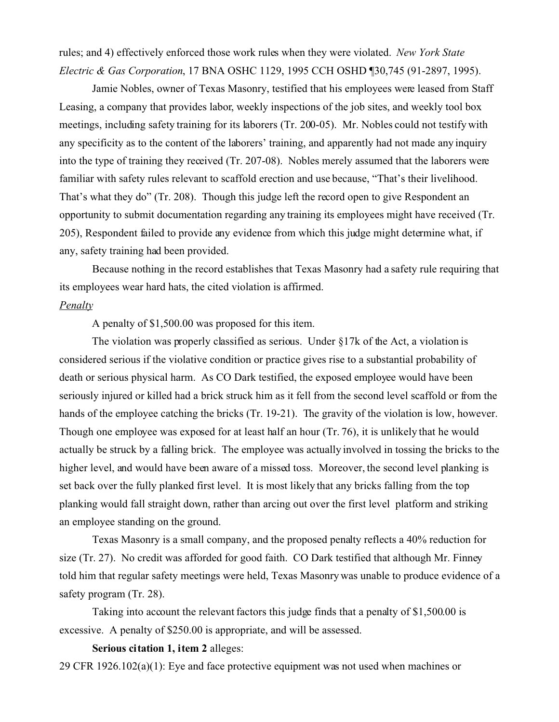rules; and 4) effectively enforced those work rules when they were violated. *New York State Electric & Gas Corporation*, 17 BNA OSHC 1129, 1995 CCH OSHD ¶30,745 (91-2897, 1995).

Jamie Nobles, owner of Texas Masonry, testified that his employees were leased from Staff Leasing, a company that provides labor, weekly inspections of the job sites, and weekly tool box meetings, including safety training for its laborers (Tr. 200-05). Mr. Nobles could not testify with any specificity as to the content of the laborers' training, and apparently had not made any inquiry into the type of training they received (Tr. 207-08). Nobles merely assumed that the laborers were familiar with safety rules relevant to scaffold erection and use because, "That's their livelihood. That's what they do" (Tr. 208). Though this judge left the record open to give Respondent an opportunity to submit documentation regarding any training its employees might have received (Tr. 205), Respondent failed to provide any evidence from which this judge might determine what, if any, safety training had been provided.

Because nothing in the record establishes that Texas Masonry had a safety rule requiring that its employees wear hard hats, the cited violation is affirmed.

#### *Penalty*

A penalty of \$1,500.00 was proposed for this item.

The violation was properly classified as serious. Under §17k of the Act, a violation is considered serious if the violative condition or practice gives rise to a substantial probability of death or serious physical harm. As CO Dark testified, the exposed employee would have been seriously injured or killed had a brick struck him as it fell from the second level scaffold or from the hands of the employee catching the bricks (Tr. 19-21). The gravity of the violation is low, however. Though one employee was exposed for at least half an hour (Tr. 76), it is unlikely that he would actually be struck by a falling brick. The employee was actually involved in tossing the bricks to the higher level, and would have been aware of a missed toss. Moreover, the second level planking is set back over the fully planked first level. It is most likely that any bricks falling from the top planking would fall straight down, rather than arcing out over the first level platform and striking an employee standing on the ground.

Texas Masonry is a small company, and the proposed penalty reflects a 40% reduction for size (Tr. 27). No credit was afforded for good faith. CO Dark testified that although Mr. Finney told him that regular safety meetings were held, Texas Masonry was unable to produce evidence of a safety program (Tr. 28).

Taking into account the relevant factors this judge finds that a penalty of \$1,500.00 is excessive. A penalty of \$250.00 is appropriate, and will be assessed.

#### **Serious citation 1, item 2** alleges:

29 CFR 1926.102(a)(1): Eye and face protective equipment was not used when machines or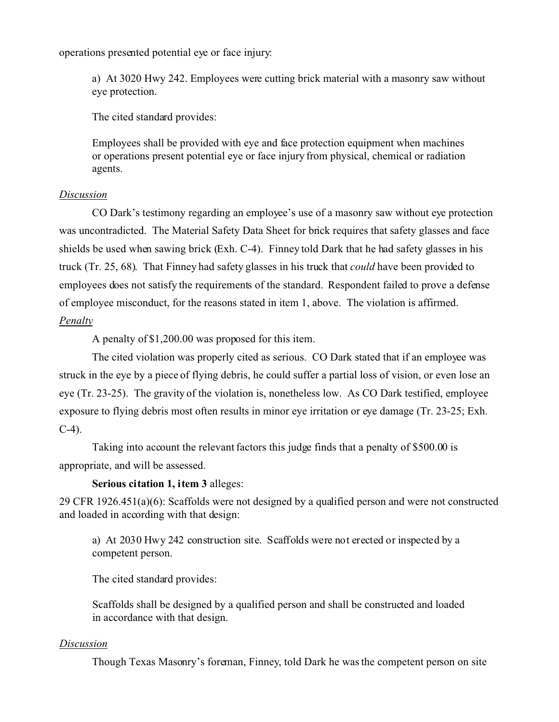operations presented potential eye or face injury:

a) At 3020 Hwy 242. Employees were cutting brick material with a masonry saw without eye protection.

The cited standard provides:

Employees shall be provided with eye and face protection equipment when machines or operations present potential eye or face injury from physical, chemical or radiation agents.

## *Discussion*

CO Dark's testimony regarding an employee's use of a masonry saw without eye protection was uncontradicted. The Material Safety Data Sheet for brick requires that safety glasses and face shields be used when sawing brick (Exh. C-4). Finney told Dark that he had safety glasses in his truck (Tr. 25, 68). That Finney had safety glasses in his truck that *could* have been provided to employees does not satisfy the requirements of the standard. Respondent failed to prove a defense of employee misconduct, for the reasons stated in item 1, above. The violation is affirmed. *Penalty* 

A penalty of \$1,200.00 was proposed for this item.

The cited violation was properly cited as serious. CO Dark stated that if an employee was struck in the eye by a piece of flying debris, he could suffer a partial loss of vision, or even lose an eye (Tr. 23-25). The gravity of the violation is, nonetheless low. As CO Dark testified, employee exposure to flying debris most often results in minor eye irritation or eye damage (Tr. 23-25; Exh. C-4).

Taking into account the relevant factors this judge finds that a penalty of \$500.00 is appropriate, and will be assessed.

# **Serious citation 1, item 3** alleges:

29 CFR 1926.451(a)(6): Scaffolds were not designed by a qualified person and were not constructed and loaded in according with that design:

a) At 2030 Hwy 242 construction site. Scaffolds were not erected or inspected by a competent person.

The cited standard provides:

Scaffolds shall be designed by a qualified person and shall be constructed and loaded in accordance with that design.

### *Discussion*

Though Texas Masonry's foreman, Finney, told Dark he was the competent person on site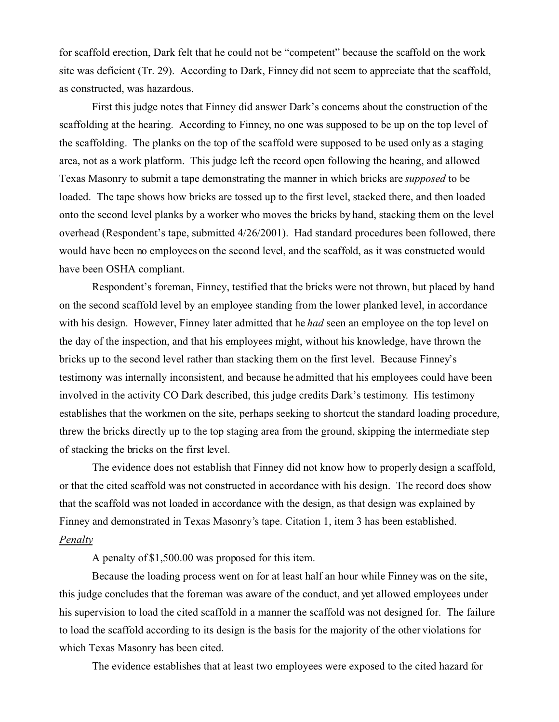for scaffold erection, Dark felt that he could not be "competent" because the scaffold on the work site was deficient (Tr. 29). According to Dark, Finney did not seem to appreciate that the scaffold, as constructed, was hazardous.

First this judge notes that Finney did answer Dark's concerns about the construction of the scaffolding at the hearing. According to Finney, no one was supposed to be up on the top level of the scaffolding. The planks on the top of the scaffold were supposed to be used only as a staging area, not as a work platform. This judge left the record open following the hearing, and allowed Texas Masonry to submit a tape demonstrating the manner in which bricks are *supposed* to be loaded. The tape shows how bricks are tossed up to the first level, stacked there, and then loaded onto the second level planks by a worker who moves the bricks by hand, stacking them on the level overhead (Respondent's tape, submitted 4/26/2001). Had standard procedures been followed, there would have been no employees on the second level, and the scaffold, as it was constructed would have been OSHA compliant.

Respondent's foreman, Finney, testified that the bricks were not thrown, but placed by hand on the second scaffold level by an employee standing from the lower planked level, in accordance with his design. However, Finney later admitted that he *had* seen an employee on the top level on the day of the inspection, and that his employees might, without his knowledge, have thrown the bricks up to the second level rather than stacking them on the first level. Because Finney's testimony was internally inconsistent, and because he admitted that his employees could have been involved in the activity CO Dark described, this judge credits Dark's testimony. His testimony establishes that the workmen on the site, perhaps seeking to shortcut the standard loading procedure, threw the bricks directly up to the top staging area from the ground, skipping the intermediate step of stacking the bricks on the first level.

The evidence does not establish that Finney did not know how to properly design a scaffold, or that the cited scaffold was not constructed in accordance with his design. The record does show that the scaffold was not loaded in accordance with the design, as that design was explained by Finney and demonstrated in Texas Masonry's tape. Citation 1, item 3 has been established. *Penalty* 

A penalty of \$1,500.00 was proposed for this item.

Because the loading process went on for at least half an hour while Finney was on the site, this judge concludes that the foreman was aware of the conduct, and yet allowed employees under his supervision to load the cited scaffold in a manner the scaffold was not designed for. The failure to load the scaffold according to its design is the basis for the majority of the other violations for which Texas Masonry has been cited.

The evidence establishes that at least two employees were exposed to the cited hazard for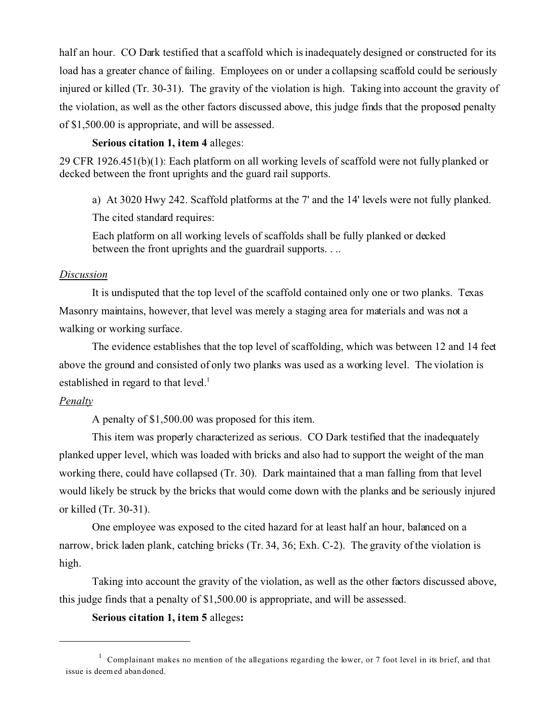half an hour. CO Dark testified that a scaffold which is inadequately designed or constructed for its load has a greater chance of failing. Employees on or under a collapsing scaffold could be seriously injured or killed (Tr. 30-31). The gravity of the violation is high. Taking into account the gravity of the violation, as well as the other factors discussed above, this judge finds that the proposed penalty of \$1,500.00 is appropriate, and will be assessed.

## **Serious citation 1, item 4** alleges:

29 CFR 1926.451(b)(1): Each platform on all working levels of scaffold were not fully planked or decked between the front uprights and the guard rail supports.

a) At 3020 Hwy 242. Scaffold platforms at the 7' and the 14' levels were not fully planked.

The cited standard requires:

Each platform on all working levels of scaffolds shall be fully planked or decked between the front uprights and the guardrail supports. . ..

### *Discussion*

It is undisputed that the top level of the scaffold contained only one or two planks. Texas Masonry maintains, however, that level was merely a staging area for materials and was not a walking or working surface.

The evidence establishes that the top level of scaffolding, which was between 12 and 14 feet above the ground and consisted of only two planks was used as a working level. The violation is established in regard to that level.<sup>1</sup>

# *Penalty*

A penalty of \$1,500.00 was proposed for this item.

This item was properly characterized as serious. CO Dark testified that the inadequately planked upper level, which was loaded with bricks and also had to support the weight of the man working there, could have collapsed (Tr. 30). Dark maintained that a man falling from that level would likely be struck by the bricks that would come down with the planks and be seriously injured or killed (Tr. 30-31).

One employee was exposed to the cited hazard for at least half an hour, balanced on a narrow, brick laden plank, catching bricks (Tr. 34, 36; Exh. C-2). The gravity of the violation is high.

Taking into account the gravity of the violation, as well as the other factors discussed above, this judge finds that a penalty of \$1,500.00 is appropriate, and will be assessed.

# **Serious citation 1, item 5** alleges**:**

<sup>&</sup>lt;sup>1</sup> Complainant makes no mention of the allegations regarding the lower, or 7 foot level in its brief, and that issue is deem ed aban doned.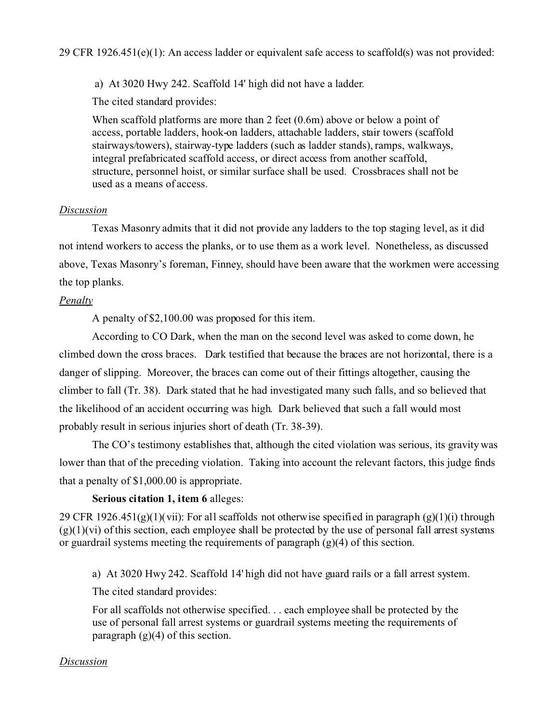a) At 3020 Hwy 242. Scaffold 14' high did not have a ladder.

The cited standard provides:

When scaffold platforms are more than 2 feet (0.6m) above or below a point of access, portable ladders, hook-on ladders, attachable ladders, stair towers (scaffold stairways/towers), stairway-type ladders (such as ladder stands), ramps, walkways, integral prefabricated scaffold access, or direct access from another scaffold, structure, personnel hoist, or similar surface shall be used. Crossbraces shall not be used as a means of access.

## *Discussion*

Texas Masonry admits that it did not provide any ladders to the top staging level, as it did not intend workers to access the planks, or to use them as a work level. Nonetheless, as discussed above, Texas Masonry's foreman, Finney, should have been aware that the workmen were accessing the top planks.

## *Penalty*

A penalty of \$2,100.00 was proposed for this item.

According to CO Dark, when the man on the second level was asked to come down, he climbed down the cross braces. Dark testified that because the braces are not horizontal, there is a danger of slipping. Moreover, the braces can come out of their fittings altogether, causing the climber to fall (Tr. 38). Dark stated that he had investigated many such falls, and so believed that the likelihood of an accident occurring was high. Dark believed that such a fall would most probably result in serious injuries short of death (Tr. 38-39).

The CO's testimony establishes that, although the cited violation was serious, its gravity was lower than that of the preceding violation. Taking into account the relevant factors, this judge finds that a penalty of \$1,000.00 is appropriate.

# **Serious citation 1, item 6** alleges:

29 CFR 1926.451(g)(1)(vii): For all scaffolds not otherwise specified in paragraph (g)(1)(i) through  $(g)(1)(vi)$  of this section, each employee shall be protected by the use of personal fall arrest systems or guardrail systems meeting the requirements of paragraph (g)(4) of this section.

a) At 3020 Hwy 242. Scaffold 14' high did not have guard rails or a fall arrest system.

The cited standard provides:

For all scaffolds not otherwise specified. . . each employee shall be protected by the use of personal fall arrest systems or guardrail systems meeting the requirements of paragraph  $(g)(4)$  of this section.

### *Discussion*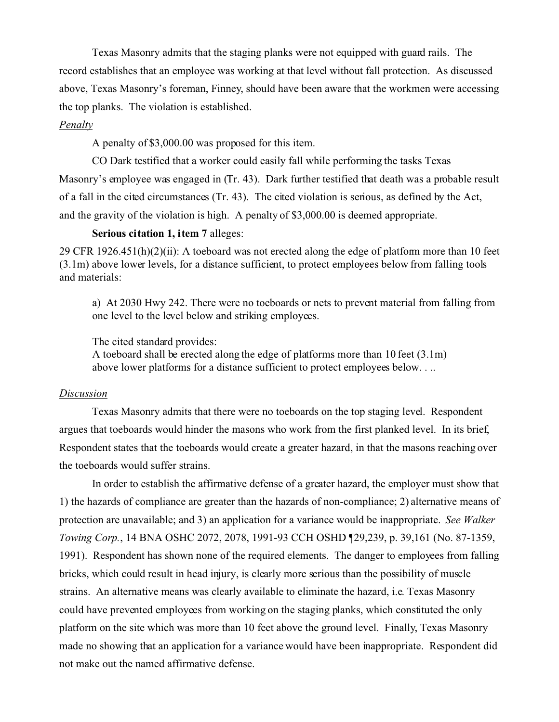Texas Masonry admits that the staging planks were not equipped with guard rails. The record establishes that an employee was working at that level without fall protection. As discussed above, Texas Masonry's foreman, Finney, should have been aware that the workmen were accessing the top planks. The violation is established.

## *Penalty*

A penalty of \$3,000.00 was proposed for this item.

CO Dark testified that a worker could easily fall while performing the tasks Texas Masonry's employee was engaged in (Tr. 43). Dark further testified that death was a probable result of a fall in the cited circumstances (Tr. 43). The cited violation is serious, as defined by the Act, and the gravity of the violation is high. A penalty of \$3,000.00 is deemed appropriate.

### **Serious citation 1, item 7** alleges:

29 CFR 1926.451(h)(2)(ii): A toeboard was not erected along the edge of platform more than 10 feet (3.1m) above lower levels, for a distance sufficient, to protect employees below from falling tools and materials:

a) At 2030 Hwy 242. There were no toeboards or nets to prevent material from falling from one level to the level below and striking employees.

The cited standard provides:

A toeboard shall be erected along the edge of platforms more than 10 feet (3.1m) above lower platforms for a distance sufficient to protect employees below. . ..

### *Discussion*

Texas Masonry admits that there were no toeboards on the top staging level. Respondent argues that toeboards would hinder the masons who work from the first planked level. In its brief, Respondent states that the toeboards would create a greater hazard, in that the masons reaching over the toeboards would suffer strains.

In order to establish the affirmative defense of a greater hazard, the employer must show that 1) the hazards of compliance are greater than the hazards of non-compliance; 2) alternative means of protection are unavailable; and 3) an application for a variance would be inappropriate. *See Walker Towing Corp.*, 14 BNA OSHC 2072, 2078, 1991-93 CCH OSHD ¶29,239, p. 39,161 (No. 87-1359, 1991). Respondent has shown none of the required elements. The danger to employees from falling bricks, which could result in head injury, is clearly more serious than the possibility of muscle strains. An alternative means was clearly available to eliminate the hazard, i.e. Texas Masonry could have prevented employees from working on the staging planks, which constituted the only platform on the site which was more than 10 feet above the ground level. Finally, Texas Masonry made no showing that an application for a variance would have been inappropriate. Respondent did not make out the named affirmative defense.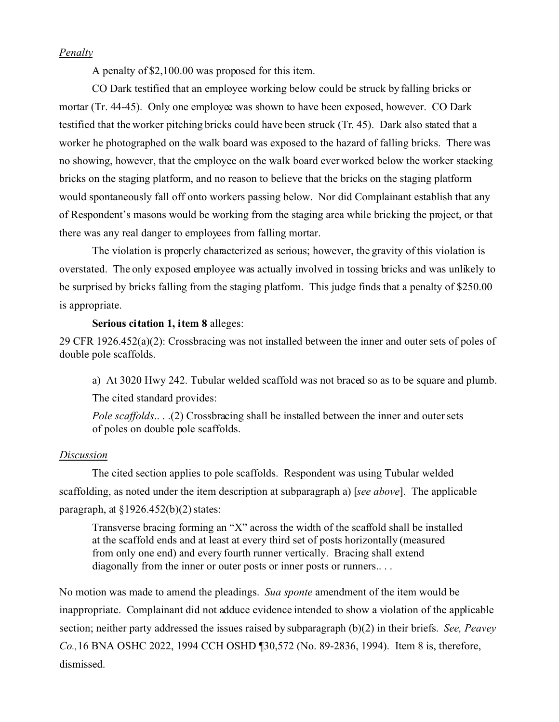### *Penalty*

A penalty of \$2,100.00 was proposed for this item.

CO Dark testified that an employee working below could be struck by falling bricks or mortar (Tr. 44-45). Only one employee was shown to have been exposed, however. CO Dark testified that the worker pitching bricks could have been struck (Tr. 45). Dark also stated that a worker he photographed on the walk board was exposed to the hazard of falling bricks. There was no showing, however, that the employee on the walk board ever worked below the worker stacking bricks on the staging platform, and no reason to believe that the bricks on the staging platform would spontaneously fall off onto workers passing below. Nor did Complainant establish that any of Respondent's masons would be working from the staging area while bricking the project, or that there was any real danger to employees from falling mortar.

The violation is properly characterized as serious; however, the gravity of this violation is overstated. The only exposed employee was actually involved in tossing bricks and was unlikely to be surprised by bricks falling from the staging platform. This judge finds that a penalty of \$250.00 is appropriate.

**Serious citation 1, item 8** alleges:

29 CFR 1926.452(a)(2): Crossbracing was not installed between the inner and outer sets of poles of double pole scaffolds.

a) At 3020 Hwy 242. Tubular welded scaffold was not braced so as to be square and plumb.

The cited standard provides:

*Pole scaffolds*.. . .(2) Crossbracing shall be installed between the inner and outer sets of poles on double pole scaffolds.

### *Discussion*

The cited section applies to pole scaffolds. Respondent was using Tubular welded scaffolding, as noted under the item description at subparagraph a) [*see above*]. The applicable paragraph, at  $\S 1926.452(b)(2)$  states:

Transverse bracing forming an "X" across the width of the scaffold shall be installed at the scaffold ends and at least at every third set of posts horizontally (measured from only one end) and every fourth runner vertically. Bracing shall extend diagonally from the inner or outer posts or inner posts or runners...

No motion was made to amend the pleadings. *Sua sponte* amendment of the item would be inappropriate. Complainant did not adduce evidence intended to show a violation of the applicable section; neither party addressed the issues raised by subparagraph (b)(2) in their briefs. *See, Peavey Co.,*16 BNA OSHC 2022, 1994 CCH OSHD ¶30,572 (No. 89-2836, 1994). Item 8 is, therefore, dismissed.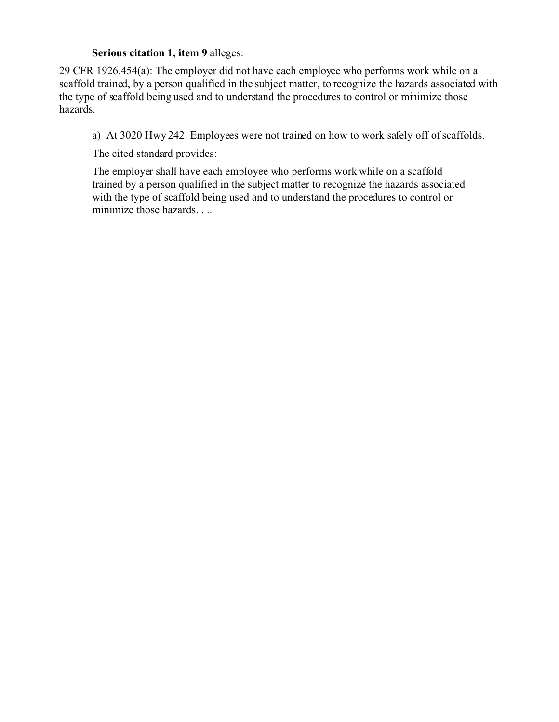## **Serious citation 1, item 9** alleges:

29 CFR 1926.454(a): The employer did not have each employee who performs work while on a scaffold trained, by a person qualified in the subject matter, to recognize the hazards associated with the type of scaffold being used and to understand the procedures to control or minimize those hazards.

a) At 3020 Hwy 242. Employees were not trained on how to work safely off of scaffolds.

The cited standard provides:

The employer shall have each employee who performs work while on a scaffold trained by a person qualified in the subject matter to recognize the hazards associated with the type of scaffold being used and to understand the procedures to control or minimize those hazards. . ..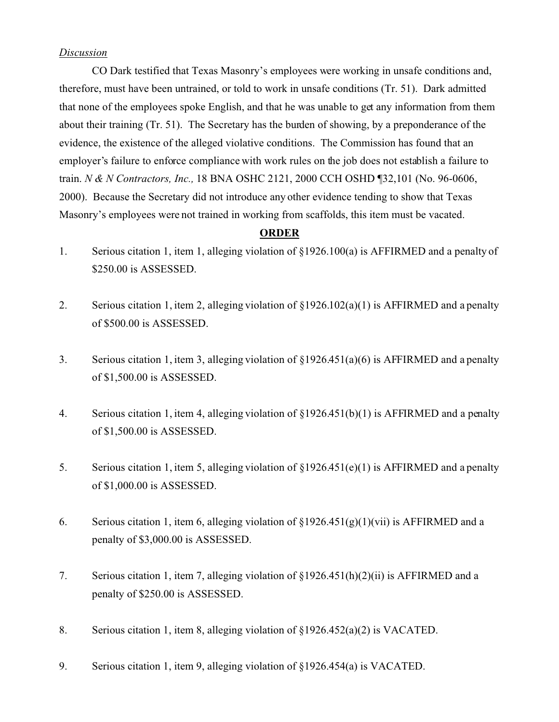### *Discussion*

CO Dark testified that Texas Masonry's employees were working in unsafe conditions and, therefore, must have been untrained, or told to work in unsafe conditions (Tr. 51). Dark admitted that none of the employees spoke English, and that he was unable to get any information from them about their training (Tr. 51). The Secretary has the burden of showing, by a preponderance of the evidence, the existence of the alleged violative conditions. The Commission has found that an employer's failure to enforce compliance with work rules on the job does not establish a failure to train. *N & N Contractors, Inc.,* 18 BNA OSHC 2121, 2000 CCH OSHD ¶32,101 (No. 96-0606, 2000). Because the Secretary did not introduce any other evidence tending to show that Texas Masonry's employees were not trained in working from scaffolds, this item must be vacated.

# **ORDER**

- 1. Serious citation 1, item 1, alleging violation of §1926.100(a) is AFFIRMED and a penalty of \$250.00 is ASSESSED.
- 2. Serious citation 1, item 2, alleging violation of  $\S 1926.102(a)(1)$  is AFFIRMED and a penalty of \$500.00 is ASSESSED.
- 3. Serious citation 1, item 3, alleging violation of  $\S1926.451(a)(6)$  is AFFIRMED and a penalty of \$1,500.00 is ASSESSED.
- 4. Serious citation 1, item 4, alleging violation of §1926.451(b)(1) is AFFIRMED and a penalty of \$1,500.00 is ASSESSED.
- 5. Serious citation 1, item 5, alleging violation of  $\S1926.451(e)(1)$  is AFFIRMED and a penalty of \$1,000.00 is ASSESSED.
- 6. Serious citation 1, item 6, alleging violation of  $\S 1926.451(g)(1)(vii)$  is AFFIRMED and a penalty of \$3,000.00 is ASSESSED.
- 7. Serious citation 1, item 7, alleging violation of §1926.451(h)(2)(ii) is AFFIRMED and a penalty of \$250.00 is ASSESSED.
- 8. Serious citation 1, item 8, alleging violation of §1926.452(a)(2) is VACATED.
- 9. Serious citation 1, item 9, alleging violation of §1926.454(a) is VACATED.